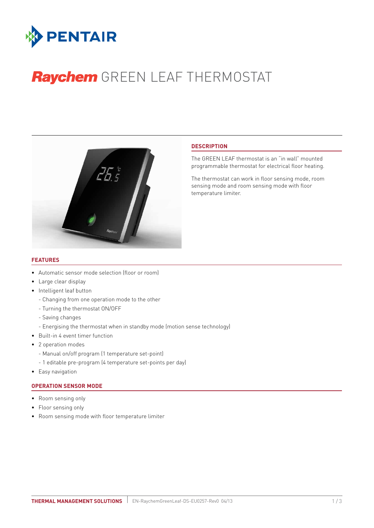

# Raychem GREEN LEAF THERMOSTAT



## **DESCRIPTION**

The GREEN LEAF thermostat is an "in wall" mounted programmable thermostat for electrical floor heating.

The thermostat can work in floor sensing mode, room sensing mode and room sensing mode with floor temperature limiter.

## **Features**

- Automatic sensor mode selection (floor or room)
- Large clear display
- Intelligent leaf button
	- Changing from one operation mode to the other
	- Turning the thermostat ON/OFF
	- Saving changes
	- Energising the thermostat when in standby mode (motion sense technology)
- Built-in 4 event timer function
- 2 operation modes
	- Manual on/off program (1 temperature set-point)
	- 1 editable pre-program (4 temperature set-points per day)
- Easy navigation

## **OPERATION SENSOR MODE**

- Room sensing only
- Floor sensing only
- Room sensing mode with floor temperature limiter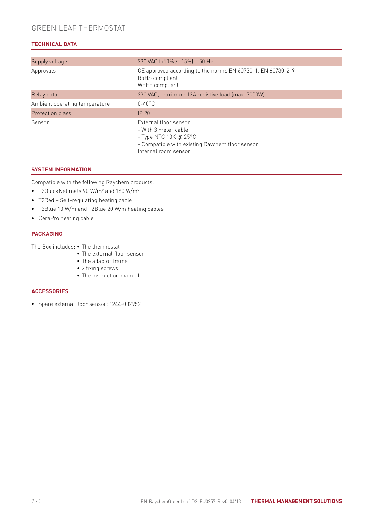# **TECHNICAL DATA**

| Supply voltage:               | 230 VAC (+10% / -15%) - 50 Hz                                                                                                        |
|-------------------------------|--------------------------------------------------------------------------------------------------------------------------------------|
| Approvals                     | CE approved according to the norms EN 60730-1, EN 60730-2-9<br>RoHS compliant<br>WEEE compliant                                      |
| Relay data                    | 230 VAC, maximum 13A resistive load (max. 3000W)                                                                                     |
| Ambient operating temperature | $0-40^{\circ}$ C                                                                                                                     |
| Protection class              | IP <sub>20</sub>                                                                                                                     |
| Sensor                        | External floor sensor<br>- With 3 meter cable<br>- Type NTC 10K @ 25 $^{\circ}$ C<br>- Compatible with existing Raychem floor sensor |

Internal room sensor

## **SYSTEM INFORMATION**

Compatible with the following Raychem products:

- T2QuickNet mats 90 W/m² and 160 W/m²
- T2Red Self-regulating heating cable
- T2Blue 10 W/m and T2Blue 20 W/m heating cables
- CeraPro heating cable

## **PACKAGING**

The Box includes: • The thermostat

- The external floor sensor
- The adaptor frame
	- 2 fixing screws
	- The instruction manual

## **ACCESSORIES**

• Spare external floor sensor: 1244-002952